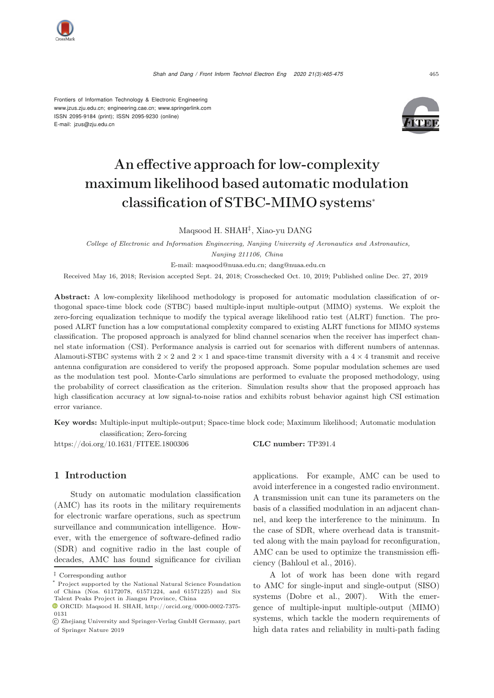

Frontiers of Information Technology & Electronic Engineering [www.jzus.zju.edu.cn;](www.jzus.zju.edu.cn) [engineering.cae.cn;](engineering.cae.cn)<www.springerlink.com> ISSN 2095-9184 (print); ISSN 2095-9230 (online) E-mail: jzus@zju.edu.cn



# An effective approach for low-complexity maximum likelihood based automatic modulation classification of STBC-MIMO systems<sup>∗</sup>

Maqsood H. SHAH‡, Xiao-yu DANG

*College of Electronic and Information Engineering, Nanjing University of Aeronautics and Astronautics, Nanjing 211106, China*

E-mail: maqsood@nuaa.edu.cn; dang@nuaa.edu.cn

Received May 16, 2018; Revision accepted Sept. 24, 2018; Crosschecked Oct. 10, 2019; Published online Dec. 27, 2019

Abstract: A low-complexity likelihood methodology is proposed for automatic modulation classification of orthogonal space-time block code (STBC) based multiple-input multiple-output (MIMO) systems. We exploit the zero-forcing equalization technique to modify the typical average likelihood ratio test (ALRT) function. The proposed ALRT function has a low computational complexity compared to existing ALRT functions for MIMO systems classification. The proposed approach is analyzed for blind channel scenarios when the receiver has imperfect channel state information (CSI). Performance analysis is carried out for scenarios with different numbers of antennas. Alamouti-STBC systems with  $2 \times 2$  and  $2 \times 1$  and space-time transmit diversity with a  $4 \times 4$  transmit and receive antenna configuration are considered to verify the proposed approach. Some popular modulation schemes are used as the modulation test pool. Monte-Carlo simulations are performed to evaluate the proposed methodology, using the probability of correct classification as the criterion. Simulation results show that the proposed approach has high classification accuracy at low signal-to-noise ratios and exhibits robust behavior against high CSI estimation error variance.

Key words: Multiple-input multiple-output; Space-time block code; Maximum likelihood; Automatic modulation classification; Zero-forcing

https://doi.org/10.1631/FITEE.1800306 CLC number: TP391.4

## 1 Introduction

Study on automatic modulation classification (AMC) has its roots in the military requirements for electronic warfare operations, such as spectrum surveillance and communication intelligence. However, with the emergence of software-defined radio (SDR) and cognitive radio in the last couple of decades, AMC has found significance for civilian

applications. For example, AMC can be used to avoid interference in a congested radio environment. A transmission unit can tune its parameters on the basis of a classified modulation in an adjacent channel, and keep the interference to the minimum. In the case of SDR, where overhead data is transmitted along with the main payload for reconfiguration, AMC can be used to optimize the transmission efficiency [\(Bahloul et al.](#page-9-0), [2016](#page-9-0)).

A lot of work has been done with regard to AMC for single-input and single-output (SISO) systems [\(Dobre et al., 2007](#page-9-1)). With the emergence of multiple-input multiple-output (MIMO) systems, which tackle the modern requirements of high data rates and reliability in multi-path fading

<sup>‡</sup> Corresponding author

<sup>\*</sup> Project supported by the National Natural Science Foundation of China (Nos. 61172078, 61571224, and 61571225) and Six Talent Peaks Project in Jiangsu Province, China

 $\bullet$  ORCID: Maqsood H. SHAH, http://orcid.org/0000-0002-7375-0131

c Zhejiang University and Springer-Verlag GmbH Germany, part of Springer Nature 2019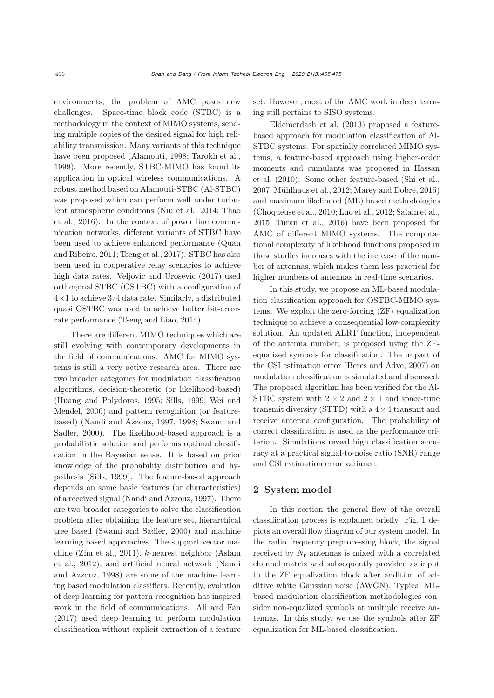environments, the problem of AMC poses new challenges. Space-time block code (STBC) is a methodology in the context of MIMO systems, sending multiple copies of the desired signal for high reliability transmission. Many variants of this technique have been proposed [\(Alamouti, 1998;](#page-9-2) [Tarokh et al.](#page-10-0), [1999](#page-10-0)). More recently, STBC-MIMO has found its application in optical wireless communications. A robust method based on Alamouti-STBC (Al-STBC) was proposed which can perform well under turbulent [atmospheric](#page-10-1) [conditions](#page-10-1) [\(Niu et al.](#page-9-3)[,](#page-10-1) [2014](#page-9-3)[;](#page-10-1) Thao et al., [2016\)](#page-10-1). In the context of power line communication networks, different variants of STBC have been used [to](#page-9-4) [achieve](#page-9-4) [enhanced](#page-9-4) [performance](#page-9-4) [\(](#page-9-4)Quan and Ribeiro, [2011](#page-9-4); [Tseng et al., 2017\)](#page-10-2). STBC has also been used in cooperative relay scenarios to achieve high data rates. [Veljovic and Urosevic](#page-10-3) [\(2017](#page-10-3)) used orthogonal STBC (OSTBC) with a configuration of  $4\times1$  to achieve  $3/4$  data rate. Similarly, a distributed quasi OSTBC was used to achieve better bit-errorrate performance [\(Tseng and Liao](#page-10-4), [2014](#page-10-4)).

There are different MIMO techniques which are still evolving with contemporary developments in the field of communications. AMC for MIMO systems is still a very active research area. There are two broader categories for modulation classification algorithms, decision-theoretic (or likelihood-based) [\(Huang and Polydoros](#page-9-5)[,](#page-10-5) [1995](#page-9-5)[;](#page-10-5) [Sills](#page-9-6)[,](#page-10-5) [1999](#page-9-6)[;](#page-10-5) Wei and Mendel, [2000\)](#page-10-5) and pattern recognition (or featurebased[\)](#page-9-9) [\(Nandi and Azzouz](#page-9-7)[,](#page-9-9) [1997](#page-9-7)[,](#page-9-9) [1998;](#page-9-8) Swami and Sadler, [2000\)](#page-9-9). The likelihood-based approach is a probabilistic solution and performs optimal classification in the Bayesian sense. It is based on prior knowledge of the probability distribution and hypothesis [\(Sills](#page-9-6), [1999](#page-9-6)). The feature-based approach depends on some basic features (or characteristics) of a received signal [\(Nandi and Azzouz](#page-9-7), [1997](#page-9-7)). There are two broader categories to solve the classification problem after obtaining the feature set, hierarchical tree based [\(Swami and Sadler](#page-9-9), [2000](#page-9-9)) and machine learning based approaches. The support vector machine [\(Zhu et al., 2011](#page-10-6)), k[-nearest](#page-9-10) [neighbor](#page-9-10) [\(](#page-9-10)Aslam et al., [2012](#page-9-10)[\),](#page-9-8) [and](#page-9-8) [artificial](#page-9-8) [neural](#page-9-8) [network](#page-9-8) [\(](#page-9-8)Nandi and Azzouz, [1998\)](#page-9-8) are some of the machine learning based modulation classifiers. Recently, evolution of deep learning for pattern recognition has inspired work in the field of communications. [Ali and Fan](#page-9-11) [\(2017](#page-9-11)) used deep learning to perform modulation classification without explicit extraction of a feature

set. However, most of the AMC work in deep learning still pertains to SISO systems.

Eldemerdash et al. [\(2013](#page-9-12)) proposed a featurebased approach for modulation classification of Al-STBC systems. For spatially correlated MIMO systems, a feature-based approach using higher-order mom[ents](#page-9-13) [and](#page-9-13) [cumulants](#page-9-13) [was](#page-9-13) [proposed](#page-9-13) [in](#page-9-13) Hassan et al. [\(2010](#page-9-13)). Some other feature-based [\(Shi et al.](#page-9-14), [2007](#page-9-14); [Mühlhaus et al.](#page-9-15), [2012;](#page-9-15) [Marey and Dobre](#page-9-16), [2015](#page-9-16)) and maximum likelihood (ML) based methodologies [\(Choqueuse et al.](#page-9-17), [2010](#page-9-17); [Luo et al.](#page-9-18), [2012](#page-9-18); [Salam et al.](#page-9-19), [2015](#page-9-19); [Turan et al., 2016\)](#page-10-7) have been proposed for AMC of different MIMO systems. The computational complexity of likelihood functions proposed in these studies increases with the increase of the number of antennas, which makes them less practical for higher numbers of antennas in real-time scenarios.

In this study, we propose an ML-based modulation classification approach for OSTBC-MIMO systems. We exploit the zero-forcing (ZF) equalization technique to achieve a consequential low-complexity solution. An updated ALRT function, independent of the antenna number, is proposed using the ZFequalized symbols for classification. The impact of the CSI estimation error [\(Beres and Adve, 2007\)](#page-9-20) on modulation classification is simulated and discussed. The proposed algorithm has been verified for the Al-STBC system with  $2 \times 2$  and  $2 \times 1$  and space-time transmit diversity (STTD) with a  $4 \times 4$  transmit and receive antenna configuration. The probability of correct classification is used as the performance criterion. Simulations reveal high classification accuracy at a practical signal-to-noise ratio (SNR) range and CSI estimation error variance.

## 2 System model

In this section the general flow of the overall classification process is explained briefly. Fig. [1](#page-2-0) depicts an overall flow diagram of our system model. In the radio frequency preprocessing block, the signal received by  $N_r$  antennas is mixed with a correlated channel matrix and subsequently provided as input to the ZF equalization block after addition of additive white Gaussian noise (AWGN). Typical MLbased modulation classification methodologies consider non-equalized symbols at multiple receive antennas. In this study, we use the symbols after ZF equalization for ML-based classification.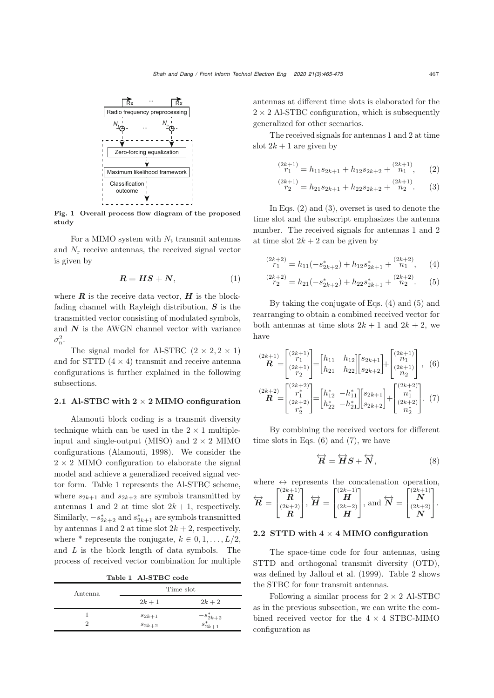

<span id="page-2-0"></span>Fig. 1 Overall process flow diagram of the proposed study

For a MIMO system with  $N_t$  transmit antennas and  $N_r$  receive antennas, the received signal vector is given by

$$
R = HS + N,\tag{1}
$$

where  $\boldsymbol{R}$  is the receive data vector,  $\boldsymbol{H}$  is the blockfading channel with Rayleigh distribution, *S* is the transmitted vector consisting of modulated symbols, and  $N$  is the AWGN channel vector with variance  $\sigma_{\rm n}^2$ .

The signal model for Al-STBC  $(2 \times 2, 2 \times 1)$ and for STTD  $(4 \times 4)$  transmit and receive antenna configurations is further explained in the following subsections.

#### 2.1 Al-STBC with  $2 \times 2$  MIMO configuration

Alamouti block coding is a transmit diversity technique which can be used in the  $2 \times 1$  multipleinput and single-output (MISO) and  $2 \times 2$  MIMO configurations [\(Alamouti](#page-9-2), [1998\)](#page-9-2). We consider the  $2 \times 2$  MIMO configuration to elaborate the signal model and achieve a generalized received signal vector form. Table [1](#page-2-1) represents the Al-STBC scheme, where  $s_{2k+1}$  and  $s_{2k+2}$  are symbols transmitted by antennas 1 and 2 at time slot  $2k+1$ , respectively. Similarly,  $-s_{2k+2}^*$  and  $s_{2k+1}^*$  are symbols transmitted by antennas 1 and 2 at time slot  $2k + 2$ , respectively, where \* represents the conjugate,  $k \in {0, 1, \ldots, L/2}$ , and *L* is the block length of data symbols. The process of received vector combination for multiple

<span id="page-2-1"></span>Table 1 Al-STBC code

| Antenna |            | Time slot                        |
|---------|------------|----------------------------------|
|         | $2k+1$     | $2k+2$                           |
|         | $s_{2k+1}$ | $\frac{-s^*_{2k+2}}{s^*_{2k+1}}$ |
| 2       | $s_{2k+2}$ |                                  |

antennas at different time slots is elaborated for the  $2 \times 2$  Al-STBC configuration, which is subsequently generalized for other scenarios.

The received signals for antennas 1 and 2 at time slot  $2k + 1$  are given by

<span id="page-2-2"></span>
$$
\begin{aligned} \binom{2k+1}{r_1} &= h_{11}s_{2k+1} + h_{12}s_{2k+2} + \binom{2k+1}{n_1}, \qquad (2) \end{aligned}
$$

<span id="page-2-3"></span>
$$
\begin{aligned} \binom{2k+1}{r_2} &= h_{21}s_{2k+1} + h_{22}s_{2k+2} + \binom{2k+1}{r_2}. \qquad (3) \end{aligned}
$$

In Eqs. [\(2\)](#page-2-2) and [\(3\)](#page-2-3), overset is used to denote the time slot and the subscript emphasizes the antenna number. The received signals for antennas 1 and 2 at time slot  $2k + 2$  can be given by

<span id="page-2-4"></span>
$$
\begin{aligned} \binom{2k+2}{r_1} &= h_{11}(-s_{2k+2}^*) + h_{12}s_{2k+1}^* + \binom{2k+2}{n_1}, \qquad (4) \end{aligned}
$$

<span id="page-2-5"></span>
$$
\begin{aligned} \binom{2k+2}{r_2} &= h_{21}(-s_{2k+2}^*) + h_{22}s_{2k+1}^* + \binom{2k+2}{n_2}.\end{aligned} \tag{5}
$$

By taking the conjugate of Eqs. [\(4\)](#page-2-4) and [\(5\)](#page-2-5) and rearranging to obtain a combined received vector for both antennas at time slots  $2k + 1$  and  $2k + 2$ , we have

$$
\begin{aligned}\n\mathbf{R}^{(2k+1)} &= \begin{bmatrix} (2k+1) \\ r_1 \\ (2k+1) \\ r_2 \end{bmatrix} = \begin{bmatrix} h_{11} & h_{12} \\ h_{21} & h_{22} \end{bmatrix} \begin{bmatrix} s_{2k+1} \\ s_{2k+2} \end{bmatrix} + \begin{bmatrix} (2k+1) \\ n_1 \\ (2k+1) \\ n_2 \end{bmatrix}, \quad (6) \\
\mathbf{R}^{(2k+2)} &= \begin{bmatrix} (2k+2) \\ r_1^* \\ (2k+2) \\ r_2^* \end{bmatrix} = \begin{bmatrix} h_{12}^* & -h_{11}^* \\ h_{22}^* & -h_{21}^* \end{bmatrix} \begin{bmatrix} s_{2k+1} \\ s_{2k+2} \end{bmatrix} + \begin{bmatrix} (2k+2) \\ n_1^* \\ (2k+2) \\ n_2^* \end{bmatrix}.\n\end{aligned}
$$

By combining the received vectors for different time slots in Eqs.  $(6)$  and  $(7)$ , we have

<span id="page-2-7"></span><span id="page-2-6"></span>
$$
\overleftrightarrow{R} = \overleftrightarrow{H}S + \overleftrightarrow{N}, \tag{8}
$$

where  $\leftrightarrow$  represents the concatenation operation,

$$
\overleftrightarrow{\mathbf{R}} = \begin{bmatrix} (2k+1) \\ \mathbf{R} \\ (2k+2) \\ \mathbf{R} \end{bmatrix}, \overleftrightarrow{\mathbf{H}} = \begin{bmatrix} (2k+1) \\ \mathbf{H} \\ (2k+2) \\ \mathbf{H} \end{bmatrix}, \text{ and } \overleftrightarrow{\mathbf{N}} = \begin{bmatrix} (2k+1) \\ \mathbf{N} \\ (2k+2) \\ \mathbf{N} \end{bmatrix}.
$$

#### 2.2 STTD with  $4 \times 4$  MIMO configuration

The space-time code for four antennas, using STTD and orthogonal transmit diversity (OTD), was defined by [Jalloul et al.](#page-9-21) [\(1999](#page-9-21)). Table [2](#page-3-0) shows the STBC for four transmit antennas.

Following a similar process for  $2 \times 2$  Al-STBC as in the previous subsection, we can write the combined received vector for the  $4 \times 4$  STBC-MIMO configuration as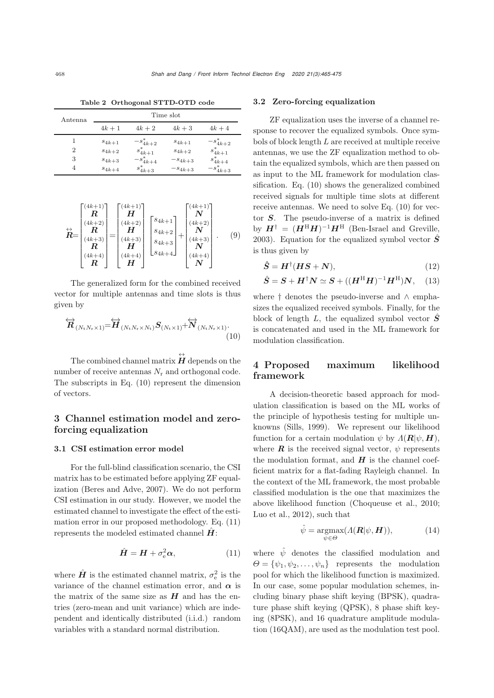| Antenna |            |               | Time slot   |               |
|---------|------------|---------------|-------------|---------------|
|         | $4k+1$     | $4k+2$        | $4k+3$      | $4k+4$        |
|         | $s_{4k+1}$ | $-s_{4k+2}^*$ | $s_{4k+1}$  | $-s_{4k+2}^*$ |
| 2       | $s_{4k+2}$ | $s_{4k+1}^*$  | $s_{4k+2}$  | $s_{4k+1}^*$  |
| 3       | $s_{4k+3}$ | $-s_{4k+4}^*$ | $-s_{4k+3}$ | $s_{4k+4}^*$  |
| 4       | $s_{4k+4}$ | $s_{4k+3}^*$  | $-s_{4k+3}$ | $-s_{4k+3}^*$ |

<span id="page-3-0"></span>Table 2 Orthogonal STTD-OTD code

$$
\stackrel{\leftrightarrow}{R} = \begin{bmatrix} (4k+1) \\ R \\ (4k+2) \\ (4k+3) \\ R \\ (4k+4) \\ R \end{bmatrix} = \begin{bmatrix} (4k+1) \\ H \\ (4k+2) \\ (4k+3) \\ H \\ H \end{bmatrix} \begin{bmatrix} s_{4k+1} \\ s_{4k+2} \\ s_{4k+3} \\ s_{4k+4} \end{bmatrix} + \begin{bmatrix} (4k+1) \\ N \\ (4k+2) \\ N \\ (4k+3) \\ (4k+4) \\ N \end{bmatrix} . \tag{9}
$$

The generalized form for the combined received vector for multiple antennas and time slots is thus given by

$$
\overleftrightarrow{\mathbf{R}}_{(N_{\mathrm{t}}N_{\mathrm{r}}\times 1)} = \overleftrightarrow{\mathbf{H}}_{(N_{\mathrm{t}}N_{\mathrm{r}}\times N_{\mathrm{t}})}\mathbf{S}_{(N_{\mathrm{t}}\times 1)} + \overleftrightarrow{\mathbf{N}}_{(N_{\mathrm{t}}N_{\mathrm{r}}\times 1)}.
$$
\n(10)

The combined channel matrix  $\overleftrightarrow{H}$  depends on the number of receive antennas  $N_r$  and orthogonal code. The subscripts in Eq. [\(10\)](#page-3-1) represent the dimension of vectors.

## 3 Channel estimation model and zeroforcing equalization

#### 3.1 CSI estimation error model

For the full-blind classification scenario, the CSI matrix has to be estimated before applying ZF equalization [\(Beres and Adve](#page-9-20), [2007](#page-9-20)). We do not perform CSI estimation in our study. However, we model the estimated channel to investigate the effect of the estimation error in our proposed methodology. Eq. [\(11\)](#page-3-2) represents the modeled estimated channel  $\vec{H}$ :

$$
\hat{H} = H + \sigma_{\rm e}^2 \alpha, \qquad (11)
$$

where  $\hat{H}$  is the estimated channel matrix,  $\sigma_{\rm e}^2$  is the variance of the channel estimation error, and  $\alpha$  is the matrix of the same size as  $H$  and has the entries (zero-mean and unit variance) which are independent and identically distributed (i.i.d.) random variables with a standard normal distribution.

#### 3.2 Zero-forcing equalization

ZF equalization uses the inverse of a channel response to recover the equalized symbols. Once symbols of block length L are received at multiple receive antennas, we use the ZF equalization method to obtain the equalized symbols, which are then passed on as input to the ML framework for modulation classification. Eq. [\(10\)](#page-3-1) shows the generalized combined received signals for multiple time slots at different receive antennas. We need to solve Eq. [\(10\)](#page-3-1) for vector *S*. The pseudo-inverse of a matrix is defined by  $H^{\dagger} = (H^{\rm H}H)^{-1}H^{\rm H}$  [\(Ben-Israel and Greville](#page-9-22), [2003](#page-9-22)). Equation for the equalized symbol vector  $\hat{S}$ is thus given by

<span id="page-3-3"></span>
$$
\hat{S} = H^{\dagger} (HS + N), \tag{12}
$$

$$
\hat{S} = S + H^{\dagger} N \simeq S + ((H^{\mathrm{H}} H)^{-1} H^{\mathrm{H}}) N, \quad (13)
$$

where † denotes the pseudo-inverse and ∧ emphasizes the equalized received symbols. Finally, for the block of length L, the equalized symbol vector  $\hat{S}$ is concatenated and used in the ML framework for modulation classification.

## <span id="page-3-1"></span>4 Proposed maximum likelihood framework

A decision-theoretic based approach for modulation classification is based on the ML works of the principle of hypothesis testing for multiple unknowns [\(Sills](#page-9-6), [1999\)](#page-9-6). We represent our likelihood function for a certain modulation  $\psi$  by  $\Lambda(\mathbf{R}|\psi,\mathbf{H}),$ where  $\boldsymbol{R}$  is the received signal vector,  $\psi$  represents the modulation format, and  $H$  is the channel coefficient matrix for a flat-fading Rayleigh channel. In the context of the ML framework, the most probable classified modulation is the one that maximizes the above likelihood function [\(Choqueuse et al.](#page-9-17), [2010;](#page-9-17) [Luo et al., 2012\)](#page-9-18), such that

$$
\hat{\psi} = \underset{\psi \in \Theta}{\operatorname{argmax}} (\Lambda(\mathbf{R}|\psi, \mathbf{H})), \tag{14}
$$

<span id="page-3-2"></span>where  $\hat{\psi}$  denotes the classified modulation and  $\Theta = {\psi_1, \psi_2, \ldots, \psi_n}$  represents the modulation pool for which the likelihood function is maximized. In our case, some popular modulation schemes, including binary phase shift keying (BPSK), quadrature phase shift keying (QPSK), 8 phase shift keying (8PSK), and 16 quadrature amplitude modulation (16QAM), are used as the modulation test pool.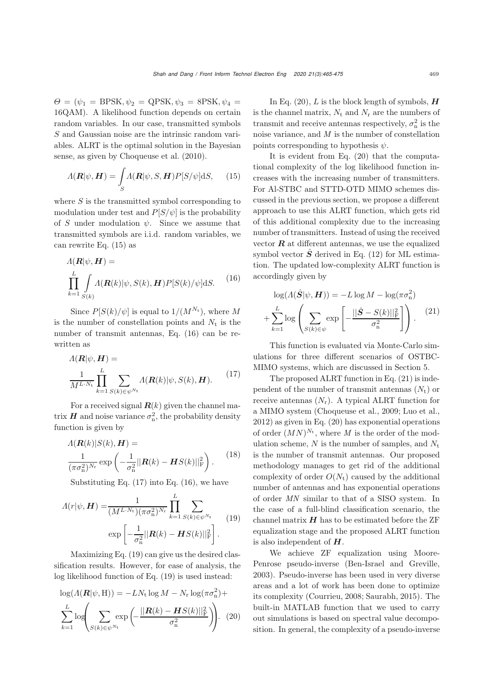$\Theta = (\psi_1 = \text{BPSK}, \psi_2 = \text{QPSK}, \psi_3 = \text{8PSK}, \psi_4 =$ 16QAM). A likelihood function depends on certain random variables. In our case, transmitted symbols S and Gaussian noise are the intrinsic random variables. ALRT is the optimal solution in the Bayesian sense, as given by [Choqueuse et al.](#page-9-17) [\(2010](#page-9-17)).

$$
\Lambda(\mathbf{R}|\psi,\mathbf{H}) = \int_{S} \Lambda(\mathbf{R}|\psi,S,\mathbf{H}) P[S/\psi] \mathrm{d}S, \quad (15)
$$

where  $S$  is the transmitted symbol corresponding to modulation under test and  $P[S/\psi]$  is the probability of S under modulation  $\psi$ . Since we assume that transmitted symbols are i.i.d. random variables, we can rewrite Eq. [\(15\)](#page-4-0) as

<span id="page-4-1"></span>
$$
\Lambda(\mathbf{R}|\psi, \mathbf{H}) =
$$
\n
$$
\prod_{k=1}^{L} \int_{S(k)} \Lambda(\mathbf{R}(k)|\psi, S(k), \mathbf{H}) P[S(k)/\psi] \, \mathrm{d}S.
$$
\n(16)

Since  $P[S(k)/\psi]$  is equal to  $1/(M^{N_t})$ , where M is the number of constellation points and  $N_t$  is the number of transmit antennas, Eq. [\(16\)](#page-4-1) can be rewritten as

<span id="page-4-2"></span>
$$
\Lambda(\mathbf{R}|\psi, \mathbf{H}) =
$$
\n
$$
\frac{1}{M^{L \cdot N_{\text{t}}}} \prod_{k=1}^{L} \sum_{S(k) \in \psi^{N_{\text{t}}}} \Lambda(\mathbf{R}(k)|\psi, S(k), \mathbf{H}).
$$
\n(17)

For a received signal  $R(k)$  given the channel matrix  $H$  and noise variance  $\sigma_{\rm n}^2$ , the probability density function is given by

$$
\Lambda(\mathbf{R}(k)|S(k),\mathbf{H}) = \frac{1}{(\pi\sigma_{\mathrm{n}}^2)^{N_{\mathrm{r}}}} \exp\left(-\frac{1}{\sigma_{\mathrm{n}}^2} ||\mathbf{R}(k) - \mathbf{H}S(k)||_{\mathrm{F}}^2\right).
$$
 (18)

Substituting Eq.  $(17)$  into Eq.  $(16)$ , we have

<span id="page-4-3"></span>
$$
\Lambda(r|\psi, \mathbf{H}) = \frac{1}{(M^{L \cdot N_{\text{t}}})(\pi \sigma_{\text{n}}^2)^{N_{\text{r}}}} \prod_{k=1}^{L} \sum_{S(k) \in \psi^{N_{\text{t}}}}
$$
\n
$$
\exp\left[-\frac{1}{\sigma_{\text{n}}^2} ||\mathbf{R}(k) - \mathbf{H}S(k)||_{\text{F}}^2\right].
$$
\n(19)

Maximizing Eq. [\(19\)](#page-4-3) can give us the desired classification results. However, for ease of analysis, the log likelihood function of Eq. [\(19\)](#page-4-3) is used instead:

$$
\log(A(\mathbf{R}|\psi, \mathbf{H})) = -LN_{t} \log M - N_{r} \log(\pi \sigma_{n}^{2}) + \sum_{k=1}^{L} \log \left( \sum_{S(k) \in \psi^{N_{t}}} \exp \left( -\frac{||\mathbf{R}(k) - \mathbf{H}S(k)||_{F}^{2}}{\sigma_{n}^{2}} \right) \right). (20)
$$

In Eq.  $(20)$ , L is the block length of symbols,  $H$ is the channel matrix,  $N_t$  and  $N_r$  are the numbers of transmit and receive antennas respectively,  $\sigma_{\rm n}^2$  is the noise variance, and *M* is the number of constellation points corresponding to hypothesis  $\psi$ .

<span id="page-4-0"></span>It is evident from Eq. [\(20\)](#page-4-4) that the computational complexity of the log likelihood function increases with the increasing number of transmitters. For Al-STBC and STTD-OTD MIMO schemes discussed in the previous section, we propose a different approach to use this ALRT function, which gets rid of this additional complexity due to the increasing number of transmitters. Instead of using the received vector  $\boldsymbol{R}$  at different antennas, we use the equalized symbol vector  $\hat{S}$  derived in Eq. [\(12\)](#page-3-3) for ML estimation. The updated low-complexity ALRT function is accordingly given by

<span id="page-4-5"></span>
$$
\log(A(\hat{S}|\psi, \mathbf{H})) = -L \log M - \log(\pi \sigma_n^2)
$$

$$
+ \sum_{k=1}^{L} \log \left( \sum_{S(k) \in \psi} \exp \left[ -\frac{||\hat{S} - S(k)||_{\mathrm{F}}^2}{\sigma_n^2} \right] \right). \tag{21}
$$

This function is evaluated via Monte-Carlo simulations for three different scenarios of OSTBC-MIMO systems, which are discussed in Section 5.

The proposed ALRT function in Eq. [\(21\)](#page-4-5) is independent of the number of transmit antennas  $(N_t)$  or receive antennas  $(N_r)$ . A typical ALRT function for a MIMO system [\(Choqueuse et al.](#page-9-23), [2009](#page-9-23); [Luo et al.](#page-9-18), [2012](#page-9-18)) as given in Eq. [\(20\)](#page-4-4) has exponential operations of order  $(MN)^{N_t}$ , where *M* is the order of the modulation scheme,  $N$  is the number of samples, and  $N_t$ is the number of transmit antennas. Our proposed methodology manages to get rid of the additional complexity of order  $O(N_t)$  caused by the additional number of antennas and has exponential operations of order *MN* similar to that of a SISO system. In the case of a full-blind classification scenario, the channel matrix  $H$  has to be estimated before the ZF equalization stage and the proposed ALRT function is also independent of *H*.

<span id="page-4-4"></span>We achieve ZF equalization using Moore-Penrose pseudo-inverse [\(Ben-Israel and Greville](#page-9-22), [2003](#page-9-22)). Pseudo-inverse has been used in very diverse areas and a lot of work has been done to optimize its complexity [\(Courrieu, 2008;](#page-9-24) [Saurabh](#page-9-25), [2015\)](#page-9-25). The built-in MATLAB function that we used to carry out simulations is based on spectral value decomposition. In general, the complexity of a pseudo-inverse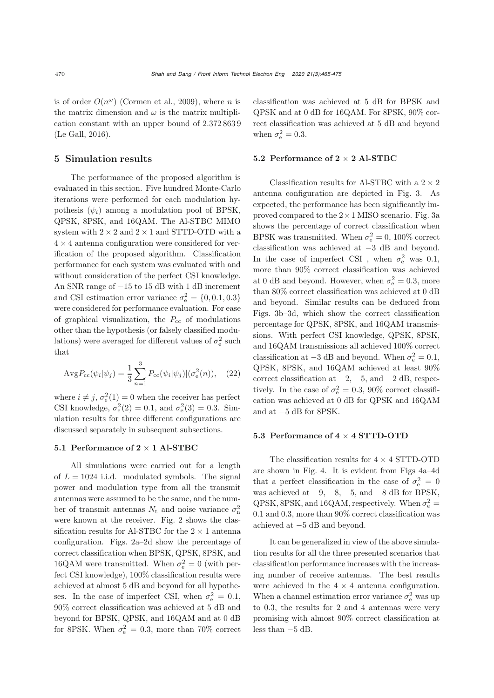is of order  $O(n^{\omega})$  [\(Cormen et al.](#page-9-26), [2009\)](#page-9-26), where *n* is the matrix dimension and  $\omega$  is the matrix multiplication constant with an upper bound of 2.372 863 9 [\(Le Gall](#page-9-27), [2016\)](#page-9-27).

## 5 Simulation results

The performance of the proposed algorithm is evaluated in this section. Five hundred Monte-Carlo iterations were performed for each modulation hypothesis  $(\psi_i)$  among a modulation pool of BPSK, QPSK, 8PSK, and 16QAM. The Al-STBC MIMO system with  $2 \times 2$  and  $2 \times 1$  and STTD-OTD with a  $4 \times 4$  antenna configuration were considered for verification of the proposed algorithm. Classification performance for each system was evaluated with and without consideration of the perfect CSI knowledge. An SNR range of −15 to 15 dB with 1 dB increment and CSI estimation error variance  $\sigma_e^2 = \{0, 0.1, 0.3\}$ were considered for performance evaluation. For ease of graphical visualization, the  $P_{cc}$  of modulations other than the hypothesis (or falsely classified modulations) were averaged for different values of  $\sigma_{\rm e}^2$  such that

$$
AvgP_{cc}(\psi_i|\psi_j) = \frac{1}{3} \sum_{n=1}^{3} P_{cc}(\psi_i|\psi_j) | (\sigma_e^2(n)), \quad (22)
$$

where  $i \neq j$ ,  $\sigma_e^2(1) = 0$  when the receiver has perfect CSI knowledge,  $\sigma_e^2(2) = 0.1$ , and  $\sigma_e^2(3) = 0.3$ . Simulation results for three different configurations are discussed separately in subsequent subsections.

#### 5.1 Performance of 2 × 1 Al-STBC

All simulations were carried out for a length of  $L = 1024$  i.i.d. modulated symbols. The signal power and modulation type from all the transmit antennas were assumed to be the same, and the number of transmit antennas  $N_t$  and noise variance  $\sigma_n^2$ were known at the receiver. Fig. [2](#page-6-0) shows the classification results for Al-STBC for the  $2 \times 1$  antenna configuration. Figs. [2a–2d](#page-6-0) show the percentage of correct classification when BPSK, QPSK, 8PSK, and 16QAM were transmitted. When  $\sigma_{\rm e}^2 = 0$  (with perfect CSI knowledge), 100% classification results were achieved at almost 5 dB and beyond for all hypotheses. In the case of imperfect CSI, when  $\sigma_{\rm e}^2 = 0.1$ , 90% correct classification was achieved at 5 dB and beyond for BPSK, QPSK, and 16QAM and at 0 dB for 8PSK. When  $\sigma_{\rm e}^2 = 0.3$ , more than 70% correct

classification was achieved at 5 dB for BPSK and QPSK and at 0 dB for 16QAM. For 8PSK, 90% correct classification was achieved at 5 dB and beyond when  $\sigma_{\rm e}^2 = 0.3$ .

#### 5.2 Performance of  $2 \times 2$  Al-STBC

Classification results for Al-STBC with a  $2 \times 2$ antenna configuration are depicted in Fig. [3.](#page-6-1) As expected, the performance has been significantly improved compared to the  $2 \times 1$  MISO scenario. Fig. [3a](#page-6-1) shows the percentage of correct classification when BPSK was transmitted. When  $\sigma_{\rm e}^2 = 0$ , 100% correct classification was achieved at −3 dB and beyond. In the case of imperfect CSI, when  $\sigma_{\rm e}^2$  was 0.1, more than 90% correct classification was achieved at 0 dB and beyond. However, when  $\sigma_{\rm e}^2 = 0.3$ , more than 80% correct classification was achieved at 0 dB and beyond. Similar results can be deduced from Figs. [3b–3d](#page-6-1), which show the correct classification percentage for QPSK, 8PSK, and 16QAM transmissions. With perfect CSI knowledge, QPSK, 8PSK, and 16QAM transmissions all achieved 100% correct classification at  $-3$  dB and beyond. When  $\sigma_{\rm e}^2 = 0.1$ , QPSK, 8PSK, and 16QAM achieved at least 90% correct classification at  $-2$ ,  $-5$ , and  $-2$  dB, respectively. In the case of  $\sigma_{\rm e}^2 = 0.3$ , 90% correct classification was achieved at 0 dB for QPSK and 16QAM and at −5 dB for 8PSK.

#### 5.3 Performance of  $4 \times 4$  STTD-OTD

The classification results for  $4 \times 4$  STTD-OTD are shown in Fig. [4.](#page-7-0) It is evident from Figs [4a–4d](#page-7-0) that a perfect classification in the case of  $\sigma_{\rm e}^2 = 0$ was achieved at  $-9$ ,  $-8$ ,  $-5$ , and  $-8$  dB for BPSK, QPSK, 8PSK, and 16QAM, respectively. When  $\sigma_{\rm e}^2$  = 0.1 and 0.3, more than 90% correct classification was achieved at −5 dB and beyond.

It can be generalized in view of the above simulation results for all the three presented scenarios that classification performance increases with the increasing number of receive antennas. The best results were achieved in the  $4 \times 4$  antenna configuration. When a channel estimation error variance  $\sigma_{\rm e}^2$  was up to 0.3, the results for 2 and 4 antennas were very promising with almost 90% correct classification at less than −5 dB.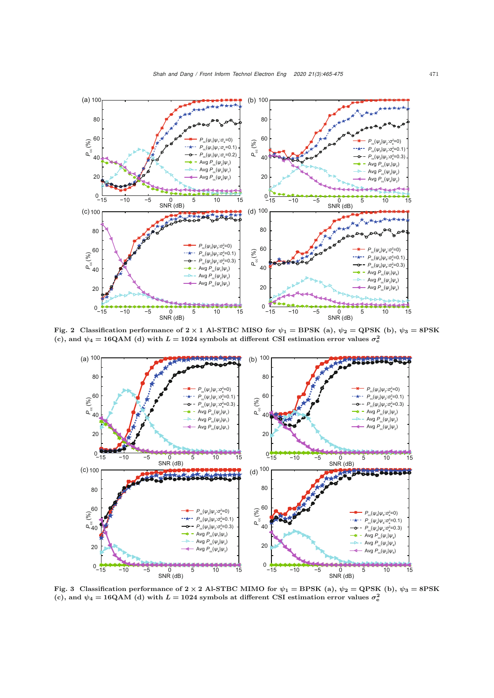

Fig. 2 Classification performance of  $2 \times 1$  Al-STBC MISO for  $\psi_1 = BPSK$  (a),  $\psi_2 = QPSK$  (b),  $\psi_3 = 8PSK$ (c), and  $\psi_4 = 16QAM$  (d) with  $L = 1024$  symbols at different CSI estimation error values  $\sigma_e^2$ 

<span id="page-6-0"></span>

<span id="page-6-1"></span>Fig. 3 Classification performance of  $2 \times 2$  Al-STBC MIMO for  $\psi_1 = BPSK$  (a),  $\psi_2 = QPSK$  (b),  $\psi_3 = 8PSK$ (c), and  $\psi_4 = 16\text{QAM}$  (d) with  $L = 1024$  symbols at different CSI estimation error values  $\sigma_e^2$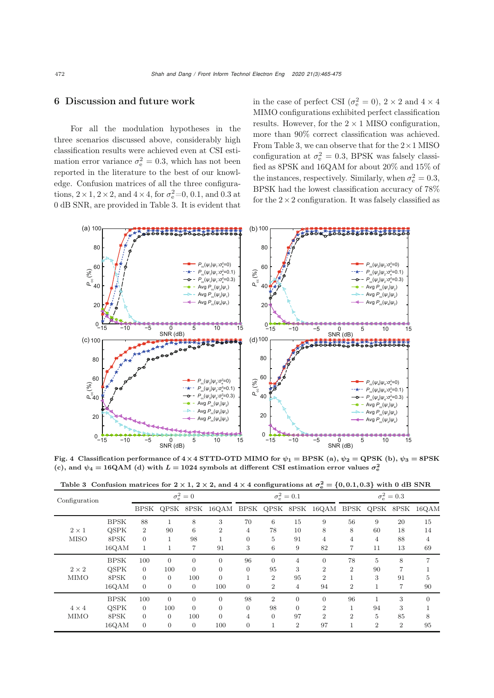## 6 Discussion and future work

For all the modulation hypotheses in the three scenarios discussed above, considerably high classification results were achieved even at CSI estimation error variance  $\sigma_{\rm e}^2 = 0.3$ , which has not been reported in the literature to the best of our knowledge. Confusion matrices of all the three configurations,  $2 \times 1$ ,  $2 \times 2$ , and  $4 \times 4$ , for  $\sigma_e^2 = 0$ , 0.1, and 0.3 at 0 dB SNR, are provided in Table [3.](#page-7-1) It is evident that

in the case of perfect CSI ( $\sigma_{\rm e}^2 = 0$ ),  $2 \times 2$  and  $4 \times 4$ MIMO configurations exhibited perfect classification results. However, for the  $2 \times 1$  MISO configuration, more than 90% correct classification was achieved. From Table [3,](#page-7-1) we can observe that for the  $2 \times 1$  MISO configuration at  $\sigma_{\rm e}^2 = 0.3$ , BPSK was falsely classified as 8PSK and 16QAM for about 20% and 15% of the instances, respectively. Similarly, when  $\sigma_{\rm e}^2 = 0.3$ , BPSK had the lowest classification accuracy of 78% for the  $2 \times 2$  configuration. It was falsely classified as



<span id="page-7-0"></span>Fig. 4 Classification performance of  $4 \times 4$  STTD-OTD MIMO for  $\psi_1 = BPSK$  (a),  $\psi_2 = QPSK$  (b),  $\psi_3 = 8PSK$ (c), and  $\psi_4 = 16QAM$  (d) with  $L = 1024$  symbols at different CSI estimation error values  $\sigma_e^2$ 

<span id="page-7-1"></span>

|  | Table 3 Confusion matrices for $2 \times 1$ , $2 \times 2$ , and $4 \times 4$ configurations at $\sigma_e^2 = \{0, 0.1, 0.3\}$ with 0 dB SNR |
|--|----------------------------------------------------------------------------------------------------------------------------------------------|
|  |                                                                                                                                              |

| Configuration               |             | $\sigma_{\rm e}^2=0$ |                |                | $\sigma_{\rm e}^2=0.1$ |                |                | $\sigma_{\rm e}^2=0.3$ |                |                |                |                |                |
|-----------------------------|-------------|----------------------|----------------|----------------|------------------------|----------------|----------------|------------------------|----------------|----------------|----------------|----------------|----------------|
|                             |             | BPSK                 |                |                | QPSK 8PSK 16QAM        | BPSK           | QPSK 8PSK      |                        | 16QAM          | BPSK           |                | QPSK 8PSK      | 16QAM          |
| $2 \times 1$<br><b>MISO</b> | <b>BPSK</b> | 88                   |                | 8              | 3                      | 70             | 6              | 15                     | 9              | 56             | 9              | 20             | 15             |
|                             | <b>OSPK</b> | $\overline{2}$       | 90             | 6              | $\overline{2}$         | 4              | 78             | 10                     | 8              | 8              | 60             | 18             | 14             |
|                             | 8PSK        | $\Omega$             |                | 98             |                        | $\Omega$       | 5              | 91                     | 4              | 4              | 4              | 88             | $\overline{4}$ |
|                             | 16QAM       |                      |                | 7              | 91                     | 3              | 6              | 9                      | 82             | 7              | 11             | 13             | 69             |
| $2 \times 2$<br><b>MIMO</b> | <b>BPSK</b> | 100                  | $\theta$       | $\overline{0}$ | $\theta$               | 96             | $\theta$       | $\overline{4}$         | $\overline{0}$ | 78             | 5              | 8              |                |
|                             | <b>OSPK</b> | $\Omega$             | 100            | $\Omega$       | $\Omega$               | $\Omega$       | 95             | 3                      | $\overline{2}$ | $\overline{2}$ | 90             | 7              |                |
|                             | 8PSK        | $\Omega$             | $\overline{0}$ | 100            | $\overline{0}$         |                | $\overline{2}$ | 95                     | $\overline{2}$ |                | 3              | 91             | 5              |
|                             | 16QAM       | $\overline{0}$       | $\overline{0}$ | $\theta$       | 100                    | $\overline{0}$ | $\overline{2}$ | $\overline{4}$         | 94             | $\overline{2}$ |                |                | 90             |
| $4 \times 4$<br><b>MIMO</b> | <b>BPSK</b> | 100                  | $\Omega$       | $\Omega$       | $\Omega$               | 98             | $\overline{2}$ | $\Omega$               | $\Omega$       | 96             |                | 3              | $\Omega$       |
|                             | <b>OSPK</b> | $\overline{0}$       | 100            | $\Omega$       | $\overline{0}$         | $\overline{0}$ | 98             | $\Omega$               | $\overline{2}$ |                | 94             | 3              |                |
|                             | 8PSK        | $\Omega$             | $\Omega$       | 100            | $\Omega$               | 4              | $\Omega$       | 97                     | $\overline{2}$ | $\overline{2}$ | 5              | 85             | 8              |
|                             | 16QAM       | $\overline{0}$       | $\overline{0}$ | $\overline{0}$ | 100                    | $\overline{0}$ | п              | $\overline{2}$         | 97             |                | $\overline{2}$ | $\overline{2}$ | 95             |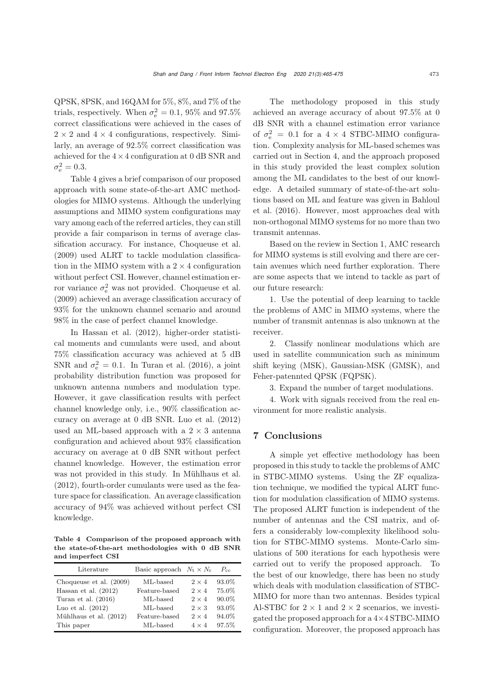QPSK, 8PSK, and 16QAM for 5%, 8%, and 7% of the trials, respectively. When  $\sigma_{\rm e}^2 = 0.1$ , 95% and 97.5% correct classifications were achieved in the cases of  $2 \times 2$  and  $4 \times 4$  configurations, respectively. Similarly, an average of 92.5% correct classification was achieved for the  $4 \times 4$  configuration at 0 dB SNR and  $\sigma_{\rm e}^2 = 0.3$ .

Table [4](#page-8-0) gives a brief comparison of our proposed approach with some state-of-the-art AMC methodologies for MIMO systems. Although the underlying assumptions and MIMO system configurations may vary among each of the referred articles, they can still provide a fair comparison in terms of average classification accuracy. For instance, [Choqueuse et al.](#page-9-23) [\(2009](#page-9-23)) used ALRT to tackle modulation classification in the MIMO system with a  $2 \times 4$  configuration without perfect CSI. However, channel estimation error variance  $\sigma_{\rm e}^2$  was not provided. [Choqueuse et al.](#page-9-23) [\(2009](#page-9-23)) achieved an average classification accuracy of 93% for the unknown channel scenario and around 98% in the case of perfect channel knowledge.

In [Hassan et al.](#page-9-28) [\(2012](#page-9-28)), higher-order statistical moments and cumulants were used, and about 75% classification accuracy was achieved at 5 dB SNR and  $\sigma_{\rm e}^2 = 0.1$ . In [Turan et al.](#page-10-7) [\(2016\)](#page-10-7), a joint probability distribution function was proposed for unknown antenna numbers and modulation type. However, it gave classification results with perfect channel knowledge only, i.e., 90% classification accuracy on average at 0 dB SNR. [Luo et al.](#page-9-18) [\(2012](#page-9-18)) used an ML-based approach with a  $2 \times 3$  antenna configuration and achieved about 93% classification accuracy on average at 0 dB SNR without perfect channel knowledge. However, the estimation error was not provided in this study. In [Mühlhaus et al.](#page-9-15) [\(2012](#page-9-15)), fourth-order cumulants were used as the feature space for classification. An average classification accuracy of 94% was achieved without perfect CSI knowledge.

<span id="page-8-0"></span>Table 4 Comparison of the proposed approach with the state-of-the-art methodologies with 0 dB SNR and imperfect CSI

| Literature              | Basic approach $N_t \times N_r$ |              | $P_{cc}$ |
|-------------------------|---------------------------------|--------------|----------|
| Choqueuse et al. (2009) | ML-based                        | $2 \times 4$ | 93.0%    |
| Hassan et al. $(2012)$  | Feature-based                   | $2 \times 4$ | 75.0%    |
| Turan et al. $(2016)$   | ML-based                        | $2 \times 4$ | 90.0%    |
| Luo et al. $(2012)$     | ML-based                        | $2 \times 3$ | 93.0%    |
| Mühlhaus et al. (2012)  | Feature-based                   | $2 \times 4$ | 94.0%    |
| This paper              | ML-based                        | $4 \times 4$ | 97.5%    |

The methodology proposed in this study achieved an average accuracy of about 97.5% at 0 dB SNR with a channel estimation error variance of  $\sigma_{\rm e}^2$  = 0.1 for a 4 × 4 STBC-MIMO configuration. Complexity analysis for ML-based schemes was carried out in Section 4, and the approach proposed in this study provided the least complex solution among the ML candidates to the best of our knowledge. A detailed summary of state-of-the-art solutions [based](#page-9-0) [on](#page-9-0) [ML](#page-9-0) [and](#page-9-0) [feature](#page-9-0) [was](#page-9-0) [given](#page-9-0) [in](#page-9-0) Bahloul et al. [\(2016\)](#page-9-0). However, most approaches deal with non-orthogonal MIMO systems for no more than two transmit antennas.

Based on the review in Section 1, AMC research for MIMO systems is still evolving and there are certain avenues which need further exploration. There are some aspects that we intend to tackle as part of our future research:

1. Use the potential of deep learning to tackle the problems of AMC in MIMO systems, where the number of transmit antennas is also unknown at the receiver.

2. Classify nonlinear modulations which are used in satellite communication such as minimum shift keying (MSK), Gaussian-MSK (GMSK), and Feher-patennted QPSK (FQPSK).

3. Expand the number of target modulations.

4. Work with signals received from the real environment for more realistic analysis.

## 7 Conclusions

A simple yet effective methodology has been proposed in this study to tackle the problems of AMC in STBC-MIMO systems. Using the ZF equalization technique, we modified the typical ALRT function for modulation classification of MIMO systems. The proposed ALRT function is independent of the number of antennas and the CSI matrix, and offers a considerably low-complexity likelihood solution for STBC-MIMO systems. Monte-Carlo simulations of 500 iterations for each hypothesis were carried out to verify the proposed approach. To the best of our knowledge, there has been no study which deals with modulation classification of STBC-MIMO for more than two antennas. Besides typical Al-STBC for  $2 \times 1$  and  $2 \times 2$  scenarios, we investigated the proposed approach for a 4×4 STBC-MIMO configuration. Moreover, the proposed approach has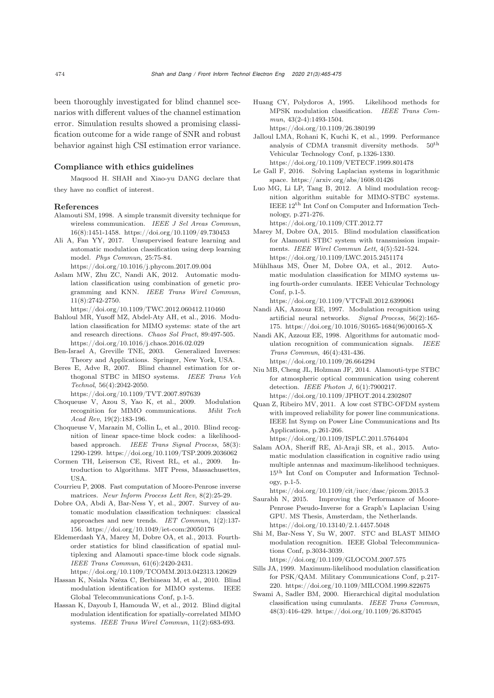been thoroughly investigated for blind channel scenarios with different values of the channel estimation error. Simulation results showed a promising classification outcome for a wide range of SNR and robust behavior against high CSI estimation error variance.

#### Compliance with ethics guidelines

Maqsood H. SHAH and Xiao-yu DANG declare that they have no conflict of interest.

#### References

- <span id="page-9-2"></span>Alamouti SM, 1998. A simple transmit diversity technique for wireless communication. *IEEE J Sel Areas Commun*, 16(8):1451-1458. https://doi.org/10.1109/49.730453
- <span id="page-9-11"></span>Ali A, Fan YY, 2017. Unsupervised feature learning and automatic modulation classification using deep learning model. *Phys Commun*, 25:75-84.
- https://doi.org/10.1016/j.phycom.2017.09.004
- <span id="page-9-10"></span>Aslam MW, Zhu ZC, Nandi AK, 2012. Automatic modulation classification using combination of genetic programming and KNN. *IEEE Trans Wirel Commun*, 11(8):2742-2750.
- https://doi.org/10.1109/TWC.2012.060412.110460
- <span id="page-9-0"></span>Bahloul MR, Yusoff MZ, Abdel-Aty AH, et al., 2016. Modulation classification for MIMO systems: state of the art and research directions. *Chaos Sol Fract*, 89:497-505. https://doi.org/10.1016/j.chaos.2016.02.029
- <span id="page-9-22"></span>Ben-Israel A, Greville TNE, 2003. Generalized Inverses: Theory and Applications. Springer, New York, USA.
- <span id="page-9-20"></span>Beres E, Adve R, 2007. Blind channel estimation for orthogonal STBC in MISO systems. *IEEE Trans Veh Technol*, 56(4):2042-2050.
	- https://doi.org/10.1109/TVT.2007.897639
- <span id="page-9-23"></span>Choqueuse V, Azou S, Yao K, et al., 2009. Modulation recognition for MIMO communications. *Milit Tech Acad Rev*, 19(2):183-196.
- <span id="page-9-17"></span>Choqueuse V, Marazin M, Collin L, et al., 2010. Blind recognition of linear space-time block codes: a likelihoodbased approach. *IEEE Trans Signal Process*, 58(3): 1290-1299. https://doi.org/10.1109/TSP.2009.2036062
- <span id="page-9-26"></span>Cormen TH, Leiserson CE, Rivest RL, et al., 2009. Introduction to Algorithms. MIT Press, Massachusettes, USA.
- <span id="page-9-24"></span>Courrieu P, 2008. Fast computation of Moore-Penrose inverse matrices. *Neur Inform Process Lett Rev*, 8(2):25-29.
- <span id="page-9-1"></span>Dobre OA, Abdi A, Bar-Ness Y, et al., 2007. Survey of automatic modulation classification techniques: classical approaches and new trends. *IET Commun*, 1(2):137- 156. https://doi.org/10.1049/iet-com:20050176
- <span id="page-9-12"></span>Eldemerdash YA, Marey M, Dobre OA, et al., 2013. Fourthorder statistics for blind classification of spatial multiplexing and Alamouti space-time block code signals. *IEEE Trans Commun*, 61(6):2420-2431.

https://doi.org/10.1109/TCOMM.2013.042313.120629

- <span id="page-9-13"></span>Hassan K, Nsiala Nzéza C, Berbineau M, et al., 2010. Blind modulation identification for MIMO systems. IEEE Global Telecommunications Conf, p.1-5.
- <span id="page-9-28"></span>Hassan K, Dayoub I, Hamouda W, et al., 2012. Blind digital modulation identification for spatially-correlated MIMO systems. *IEEE Trans Wirel Commun*, 11(2):683-693.
- <span id="page-9-5"></span>Huang CY, Polydoros A, 1995. Likelihood methods for MPSK modulation classification. *IEEE Trans Commun*, 43(2-4):1493-1504. https://doi.org/10.1109/26.380199
- <span id="page-9-21"></span>Jalloul LMA, Rohani K, Kuchi K, et al., 1999. Performance analysis of CDMA transmit diversity methods. 50th Vehicular Technology Conf, p.1326-1330. https://doi.org/10.1109/VETECF.1999.801478
- <span id="page-9-27"></span>Le Gall F, 2016. Solving Laplacian systems in logarithmic space. https://arxiv.org/abs/1608.01426
- <span id="page-9-18"></span>Luo MG, Li LP, Tang B, 2012. A blind modulation recognition algorithm suitable for MIMO-STBC systems. IEEE 12th Int Conf on Computer and Information Technology, p.271-276. https://doi.org/10.1109/CIT.2012.77
- <span id="page-9-16"></span>Marey M, Dobre OA, 2015. Blind modulation classification for Alamouti STBC system with transmission impairments. *IEEE Wirel Commun Lett*, 4(5):521-524. https://doi.org/10.1109/LWC.2015.2451174
- <span id="page-9-15"></span>Mühlhaus MS, Öner M, Dobre OA, et al., 2012. Automatic modulation classification for MIMO systems using fourth-order cumulants. IEEE Vehicular Technology Conf, p.1-5.
	- https://doi.org/10.1109/VTCFall.2012.6399061
- <span id="page-9-7"></span>Nandi AK, Azzouz EE, 1997. Modulation recognition using artificial neural networks. *Signal Process*, 56(2):165- 175. https://doi.org/10.1016/S0165-1684(96)00165-X
- <span id="page-9-8"></span>Nandi AK, Azzouz EE, 1998. Algorithms for automatic modulation recognition of communication signals. *IEEE Trans Commun*, 46(4):431-436. https://doi.org/10.1109/26.664294
- <span id="page-9-3"></span>Niu MB, Cheng JL, Holzman JF, 2014. Alamouti-type STBC for atmospheric optical communication using coherent detection. *IEEE Photon J*, 6(1):7900217. https://doi.org/10.1109/JPHOT.2014.2302807
- <span id="page-9-4"></span>Quan Z, Ribeiro MV, 2011. A low cost STBC-OFDM system with improved reliability for power line communications. IEEE Int Symp on Power Line Communications and Its Applications, p.261-266. https://doi.org/10.1109/ISPLC.2011.5764404
- <span id="page-9-19"></span>Salam AOA, Sheriff RE, Al-Araji SR, et al., 2015. Automatic modulation classification in cognitive radio using multiple antennas and maximum-likelihood techniques. 15th Int Conf on Computer and Information Technology, p.1-5.

https://doi.org/10.1109/cit/iucc/dasc/picom.2015.3

- <span id="page-9-25"></span>Saurabh N, 2015. Improving the Performance of Moore-Penrose Pseudo-Inverse for a Graph's Laplacian Using GPU. MS Thesis, Amsterdam, the Netherlands. https://doi.org/10.13140/2.1.4457.5048
- <span id="page-9-14"></span>Shi M, Bar-Ness Y, Su W, 2007. STC and BLAST MIMO modulation recognition. IEEE Global Telecommunications Conf, p.3034-3039. https://doi.org/10.1109/GLOCOM.2007.575
- <span id="page-9-6"></span>Sills JA, 1999. Maximum-likelihood modulation classification for PSK/QAM. Military Communications Conf, p.217- 220. https://doi.org/10.1109/MILCOM.1999.822675
- <span id="page-9-9"></span>Swami A, Sadler BM, 2000. Hierarchical digital modulation classification using cumulants. *IEEE Trans Commun*, 48(3):416-429. https://doi.org/10.1109/26.837045